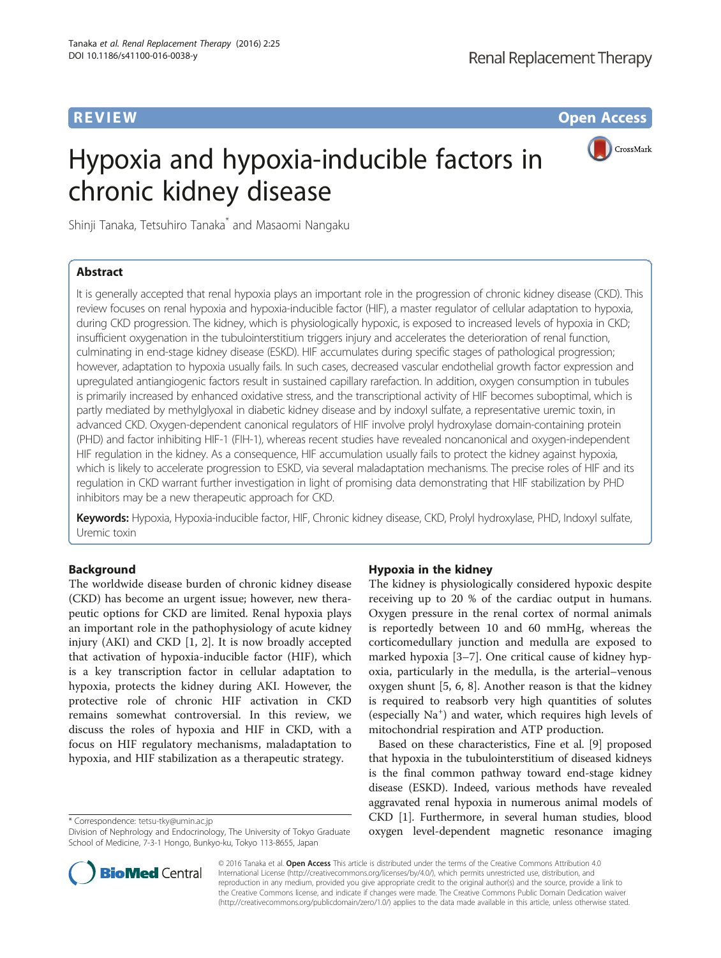**REVIEW CONSTRUCTION CONSTRUCTION CONSTRUCTS** 

# Hypoxia and hypoxia-inducible factors in chronic kidney disease



Shinji Tanaka, Tetsuhiro Tanaka\* and Masaomi Nangaku

# Abstract

It is generally accepted that renal hypoxia plays an important role in the progression of chronic kidney disease (CKD). This review focuses on renal hypoxia and hypoxia-inducible factor (HIF), a master regulator of cellular adaptation to hypoxia, during CKD progression. The kidney, which is physiologically hypoxic, is exposed to increased levels of hypoxia in CKD; insufficient oxygenation in the tubulointerstitium triggers injury and accelerates the deterioration of renal function, culminating in end-stage kidney disease (ESKD). HIF accumulates during specific stages of pathological progression; however, adaptation to hypoxia usually fails. In such cases, decreased vascular endothelial growth factor expression and upregulated antiangiogenic factors result in sustained capillary rarefaction. In addition, oxygen consumption in tubules is primarily increased by enhanced oxidative stress, and the transcriptional activity of HIF becomes suboptimal, which is partly mediated by methylglyoxal in diabetic kidney disease and by indoxyl sulfate, a representative uremic toxin, in advanced CKD. Oxygen-dependent canonical regulators of HIF involve prolyl hydroxylase domain-containing protein (PHD) and factor inhibiting HIF-1 (FIH-1), whereas recent studies have revealed noncanonical and oxygen-independent HIF regulation in the kidney. As a consequence, HIF accumulation usually fails to protect the kidney against hypoxia, which is likely to accelerate progression to ESKD, via several maladaptation mechanisms. The precise roles of HIF and its regulation in CKD warrant further investigation in light of promising data demonstrating that HIF stabilization by PHD inhibitors may be a new therapeutic approach for CKD.

Keywords: Hypoxia, Hypoxia-inducible factor, HIF, Chronic kidney disease, CKD, Prolyl hydroxylase, PHD, Indoxyl sulfate, Uremic toxin

# Background

The worldwide disease burden of chronic kidney disease (CKD) has become an urgent issue; however, new therapeutic options for CKD are limited. Renal hypoxia plays an important role in the pathophysiology of acute kidney injury (AKI) and CKD [\[1](#page-5-0), [2\]](#page-5-0). It is now broadly accepted that activation of hypoxia-inducible factor (HIF), which is a key transcription factor in cellular adaptation to hypoxia, protects the kidney during AKI. However, the protective role of chronic HIF activation in CKD remains somewhat controversial. In this review, we discuss the roles of hypoxia and HIF in CKD, with a focus on HIF regulatory mechanisms, maladaptation to hypoxia, and HIF stabilization as a therapeutic strategy.

\* Correspondence: [tetsu-tky@umin.ac.jp](mailto:tetsu-tky@umin.ac.jp)

# Hypoxia in the kidney

The kidney is physiologically considered hypoxic despite receiving up to 20 % of the cardiac output in humans. Oxygen pressure in the renal cortex of normal animals is reportedly between 10 and 60 mmHg, whereas the corticomedullary junction and medulla are exposed to marked hypoxia [\[3](#page-5-0)–[7\]](#page-5-0). One critical cause of kidney hypoxia, particularly in the medulla, is the arterial–venous oxygen shunt [[5, 6](#page-5-0), [8](#page-5-0)]. Another reason is that the kidney is required to reabsorb very high quantities of solutes (especially Na<sup>+</sup> ) and water, which requires high levels of mitochondrial respiration and ATP production.

Based on these characteristics, Fine et al. [[9\]](#page-5-0) proposed that hypoxia in the tubulointerstitium of diseased kidneys is the final common pathway toward end-stage kidney disease (ESKD). Indeed, various methods have revealed aggravated renal hypoxia in numerous animal models of CKD [\[1](#page-5-0)]. Furthermore, in several human studies, blood oxygen level-dependent magnetic resonance imaging



© 2016 Tanaka et al. Open Access This article is distributed under the terms of the Creative Commons Attribution 4.0 International License [\(http://creativecommons.org/licenses/by/4.0/](http://creativecommons.org/licenses/by/4.0/)), which permits unrestricted use, distribution, and reproduction in any medium, provided you give appropriate credit to the original author(s) and the source, provide a link to the Creative Commons license, and indicate if changes were made. The Creative Commons Public Domain Dedication waiver [\(http://creativecommons.org/publicdomain/zero/1.0/](http://creativecommons.org/publicdomain/zero/1.0/)) applies to the data made available in this article, unless otherwise stated.

Division of Nephrology and Endocrinology, The University of Tokyo Graduate School of Medicine, 7-3-1 Hongo, Bunkyo-ku, Tokyo 113-8655, Japan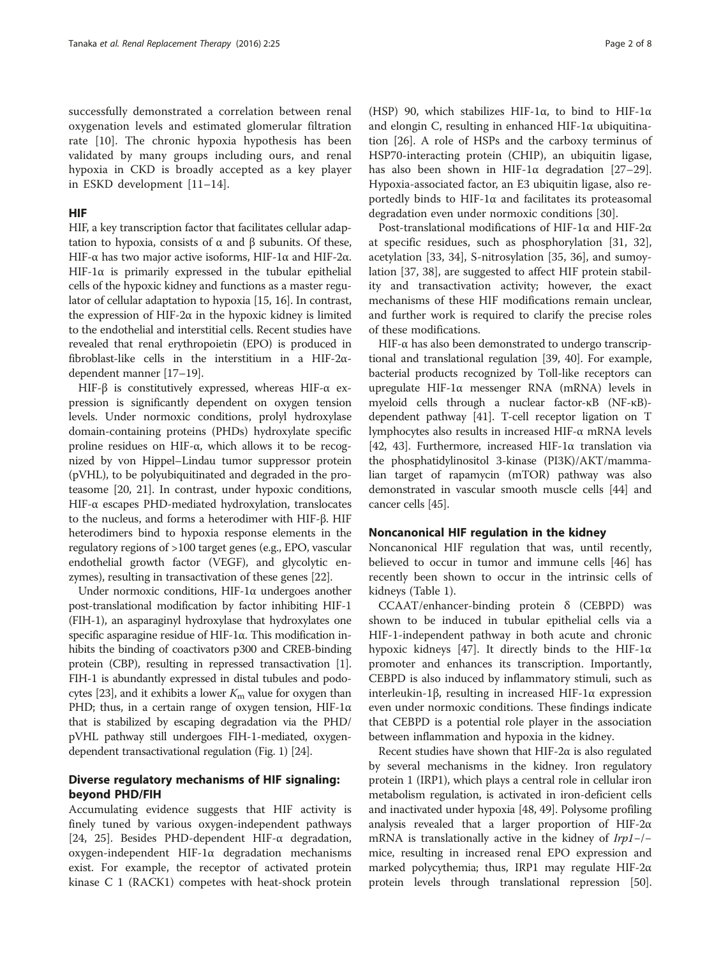successfully demonstrated a correlation between renal oxygenation levels and estimated glomerular filtration rate [[10\]](#page-5-0). The chronic hypoxia hypothesis has been validated by many groups including ours, and renal hypoxia in CKD is broadly accepted as a key player in ESKD development [\[11](#page-5-0)–[14](#page-5-0)].

## HIF

HIF, a key transcription factor that facilitates cellular adaptation to hypoxia, consists of α and β subunits. Of these, HIF- $\alpha$  has two major active isoforms, HIF-1α and HIF-2α. HIF-1 $\alpha$  is primarily expressed in the tubular epithelial cells of the hypoxic kidney and functions as a master regulator of cellular adaptation to hypoxia [[15](#page-5-0), [16\]](#page-5-0). In contrast, the expression of HIF-2α in the hypoxic kidney is limited to the endothelial and interstitial cells. Recent studies have revealed that renal erythropoietin (EPO) is produced in fibroblast-like cells in the interstitium in a HIF-2αdependent manner [\[17](#page-5-0)–[19](#page-5-0)].

HIF-β is constitutively expressed, whereas HIF-α expression is significantly dependent on oxygen tension levels. Under normoxic conditions, prolyl hydroxylase domain-containing proteins (PHDs) hydroxylate specific proline residues on HIF-α, which allows it to be recognized by von Hippel–Lindau tumor suppressor protein (pVHL), to be polyubiquitinated and degraded in the proteasome [[20, 21](#page-5-0)]. In contrast, under hypoxic conditions, HIF-α escapes PHD-mediated hydroxylation, translocates to the nucleus, and forms a heterodimer with HIF-β. HIF heterodimers bind to hypoxia response elements in the regulatory regions of >100 target genes (e.g., EPO, vascular endothelial growth factor (VEGF), and glycolytic enzymes), resulting in transactivation of these genes [\[22\]](#page-5-0).

Under normoxic conditions, HIF-1α undergoes another post-translational modification by factor inhibiting HIF-1 (FIH-1), an asparaginyl hydroxylase that hydroxylates one specific asparagine residue of HIF-1α. This modification inhibits the binding of coactivators p300 and CREB-binding protein (CBP), resulting in repressed transactivation [[1](#page-5-0)]. FIH-1 is abundantly expressed in distal tubules and podo-cytes [\[23](#page-5-0)], and it exhibits a lower  $K<sub>m</sub>$  value for oxygen than PHD; thus, in a certain range of oxygen tension, HIF-1 $\alpha$ that is stabilized by escaping degradation via the PHD/ pVHL pathway still undergoes FIH-1-mediated, oxygendependent transactivational regulation (Fig. [1\)](#page-2-0) [\[24](#page-5-0)].

## Diverse regulatory mechanisms of HIF signaling: beyond PHD/FIH

Accumulating evidence suggests that HIF activity is finely tuned by various oxygen-independent pathways [[24, 25\]](#page-5-0). Besides PHD-dependent HIF-α degradation, oxygen-independent HIF-1α degradation mechanisms exist. For example, the receptor of activated protein kinase C 1 (RACK1) competes with heat-shock protein

(HSP) 90, which stabilizes HIF-1α, to bind to HIF-1α and elongin C, resulting in enhanced HIF-1 $\alpha$  ubiquitination [\[26](#page-5-0)]. A role of HSPs and the carboxy terminus of HSP70-interacting protein (CHIP), an ubiquitin ligase, has also been shown in HIF-1α degradation [[27](#page-5-0)–[29](#page-5-0)]. Hypoxia-associated factor, an E3 ubiquitin ligase, also reportedly binds to HIF-1α and facilitates its proteasomal degradation even under normoxic conditions [[30\]](#page-5-0).

Post-translational modifications of HIF-1α and HIF-2α at specific residues, such as phosphorylation [\[31](#page-5-0), [32](#page-5-0)], acetylation [\[33](#page-5-0), [34](#page-5-0)], S-nitrosylation [[35, 36](#page-6-0)], and sumoylation [\[37, 38\]](#page-6-0), are suggested to affect HIF protein stability and transactivation activity; however, the exact mechanisms of these HIF modifications remain unclear, and further work is required to clarify the precise roles of these modifications.

HIF- $\alpha$  has also been demonstrated to undergo transcriptional and translational regulation [\[39, 40](#page-6-0)]. For example, bacterial products recognized by Toll-like receptors can upregulate HIF-1α messenger RNA (mRNA) levels in myeloid cells through a nuclear factor-κB (NF-κB) dependent pathway [[41](#page-6-0)]. T-cell receptor ligation on T lymphocytes also results in increased HIF-α mRNA levels [[42](#page-6-0), [43](#page-6-0)]. Furthermore, increased HIF-1α translation via the phosphatidylinositol 3-kinase (PI3K)/AKT/mammalian target of rapamycin (mTOR) pathway was also demonstrated in vascular smooth muscle cells [\[44](#page-6-0)] and cancer cells [\[45](#page-6-0)].

#### Noncanonical HIF regulation in the kidney

Noncanonical HIF regulation that was, until recently, believed to occur in tumor and immune cells [[46](#page-6-0)] has recently been shown to occur in the intrinsic cells of kidneys (Table [1\)](#page-3-0).

CCAAT/enhancer-binding protein δ (CEBPD) was shown to be induced in tubular epithelial cells via a HIF-1-independent pathway in both acute and chronic hypoxic kidneys [\[47\]](#page-6-0). It directly binds to the HIF-1α promoter and enhances its transcription. Importantly, CEBPD is also induced by inflammatory stimuli, such as interleukin-1β, resulting in increased HIF-1α expression even under normoxic conditions. These findings indicate that CEBPD is a potential role player in the association between inflammation and hypoxia in the kidney.

Recent studies have shown that HIF-2 $\alpha$  is also regulated by several mechanisms in the kidney. Iron regulatory protein 1 (IRP1), which plays a central role in cellular iron metabolism regulation, is activated in iron-deficient cells and inactivated under hypoxia [[48](#page-6-0), [49\]](#page-6-0). Polysome profiling analysis revealed that a larger proportion of HIF-2α mRNA is translationally active in the kidney of Irp1−/− mice, resulting in increased renal EPO expression and marked polycythemia; thus, IRP1 may regulate HIF-2α protein levels through translational repression [[50](#page-6-0)].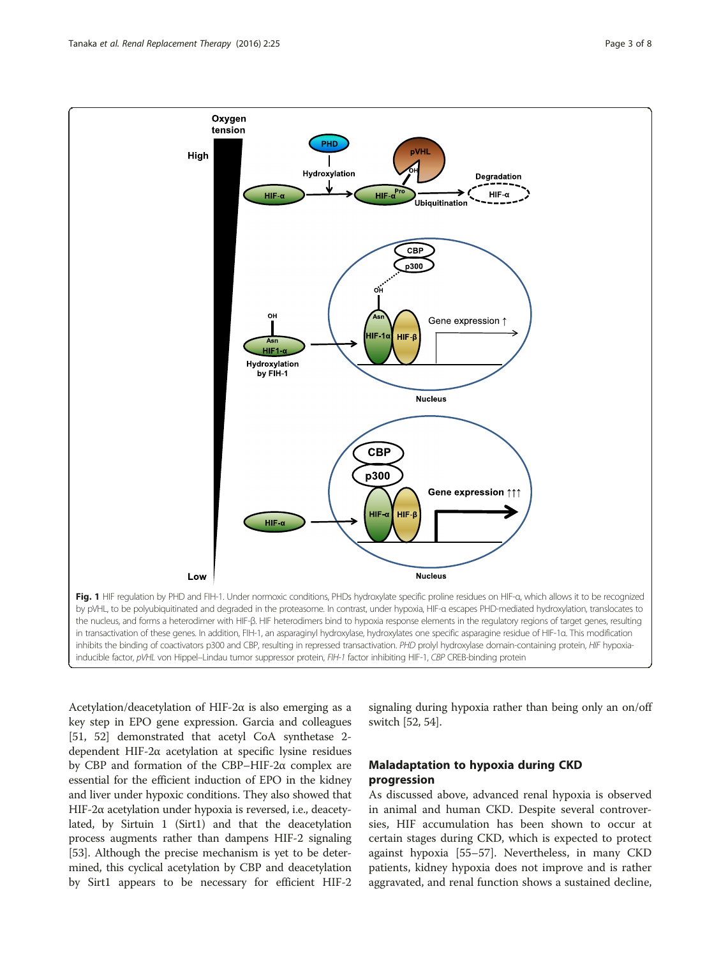<span id="page-2-0"></span>

in transactivation of these genes. In addition, FIH-1, an asparaginyl hydroxylase, hydroxylates one specific asparagine residue of HIF-1α. This modification inhibits the binding of coactivators p300 and CBP, resulting in repressed transactivation. PHD prolyl hydroxylase domain-containing protein, HIF hypoxiainducible factor, pVHL von Hippel–Lindau tumor suppressor protein, FIH-1 factor inhibiting HIF-1, CBP CREB-binding protein

Acetylation/deacetylation of HIF-2α is also emerging as a key step in EPO gene expression. Garcia and colleagues [[51](#page-6-0), [52](#page-6-0)] demonstrated that acetyl CoA synthetase 2 dependent HIF-2α acetylation at specific lysine residues by CBP and formation of the CBP–HIF-2α complex are essential for the efficient induction of EPO in the kidney and liver under hypoxic conditions. They also showed that HIF-2α acetylation under hypoxia is reversed, i.e., deacetylated, by Sirtuin 1 (Sirt1) and that the deacetylation process augments rather than dampens HIF-2 signaling [[53](#page-6-0)]. Although the precise mechanism is yet to be determined, this cyclical acetylation by CBP and deacetylation by Sirt1 appears to be necessary for efficient HIF-2

signaling during hypoxia rather than being only an on/off switch [\[52, 54\]](#page-6-0).

# Maladaptation to hypoxia during CKD progression

As discussed above, advanced renal hypoxia is observed in animal and human CKD. Despite several controversies, HIF accumulation has been shown to occur at certain stages during CKD, which is expected to protect against hypoxia [[55](#page-6-0)–[57](#page-6-0)]. Nevertheless, in many CKD patients, kidney hypoxia does not improve and is rather aggravated, and renal function shows a sustained decline,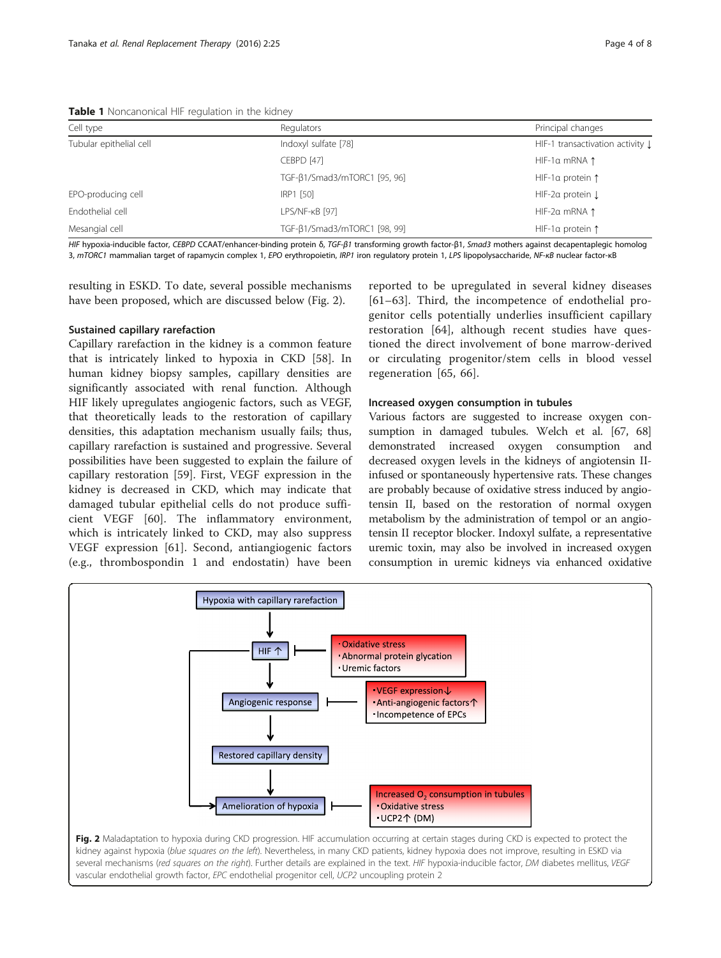#### <span id="page-3-0"></span>Table 1 Noncanonical HIF regulation in the kidney

| Cell type               | Regulators                   | Principal changes                 |
|-------------------------|------------------------------|-----------------------------------|
| Tubular epithelial cell | Indoxyl sulfate [78]         | HIF-1 transactivation activity L  |
|                         | <b>CEBPD [47]</b>            | HIF-1a mRNA 1                     |
|                         | TGF-ß1/Smad3/mTORC1 [95, 96] | HIF-1 $\alpha$ protein $\uparrow$ |
| EPO-producing cell      | IRP1 [50]                    | HIF-2a protein $\downarrow$       |
| Endothelial cell        | LPS/NF-KB [97]               | HIF-2a mRNA 1                     |
| Mesangial cell          | TGF-β1/Smad3/mTORC1 [98, 99] | HIF-1 $\alpha$ protein $\uparrow$ |

HIF hypoxia-inducible factor, CEBPD CCAAT/enhancer-binding protein δ, TGF-β1 transforming growth factor-β1, Smad3 mothers against decapentaplegic homolog 3, mTORC1 mammalian target of rapamycin complex 1, EPO erythropoietin, IRP1 iron regulatory protein 1, LPS lipopolysaccharide, NF-κB nuclear factor-κB

resulting in ESKD. To date, several possible mechanisms have been proposed, which are discussed below (Fig. 2).

## Sustained capillary rarefaction

Capillary rarefaction in the kidney is a common feature that is intricately linked to hypoxia in CKD [\[58\]](#page-6-0). In human kidney biopsy samples, capillary densities are significantly associated with renal function. Although HIF likely upregulates angiogenic factors, such as VEGF, that theoretically leads to the restoration of capillary densities, this adaptation mechanism usually fails; thus, capillary rarefaction is sustained and progressive. Several possibilities have been suggested to explain the failure of capillary restoration [[59](#page-6-0)]. First, VEGF expression in the kidney is decreased in CKD, which may indicate that damaged tubular epithelial cells do not produce sufficient VEGF [[60](#page-6-0)]. The inflammatory environment, which is intricately linked to CKD, may also suppress VEGF expression [[61](#page-6-0)]. Second, antiangiogenic factors (e.g., thrombospondin 1 and endostatin) have been

reported to be upregulated in several kidney diseases [[61](#page-6-0)–[63](#page-6-0)]. Third, the incompetence of endothelial progenitor cells potentially underlies insufficient capillary restoration [\[64\]](#page-6-0), although recent studies have questioned the direct involvement of bone marrow-derived or circulating progenitor/stem cells in blood vessel regeneration [\[65](#page-6-0), [66\]](#page-6-0).

## Increased oxygen consumption in tubules

Various factors are suggested to increase oxygen consumption in damaged tubules. Welch et al. [[67](#page-6-0), [68](#page-6-0)] demonstrated increased oxygen consumption and decreased oxygen levels in the kidneys of angiotensin IIinfused or spontaneously hypertensive rats. These changes are probably because of oxidative stress induced by angiotensin II, based on the restoration of normal oxygen metabolism by the administration of tempol or an angiotensin II receptor blocker. Indoxyl sulfate, a representative uremic toxin, may also be involved in increased oxygen consumption in uremic kidneys via enhanced oxidative



kidney against hypoxia (blue squares on the left). Nevertheless, in many CKD patients, kidney hypoxia does not improve, resulting in ESKD via several mechanisms (red squares on the right). Further details are explained in the text. HIF hypoxia-inducible factor, DM diabetes mellitus, VEGF vascular endothelial growth factor, EPC endothelial progenitor cell, UCP2 uncoupling protein 2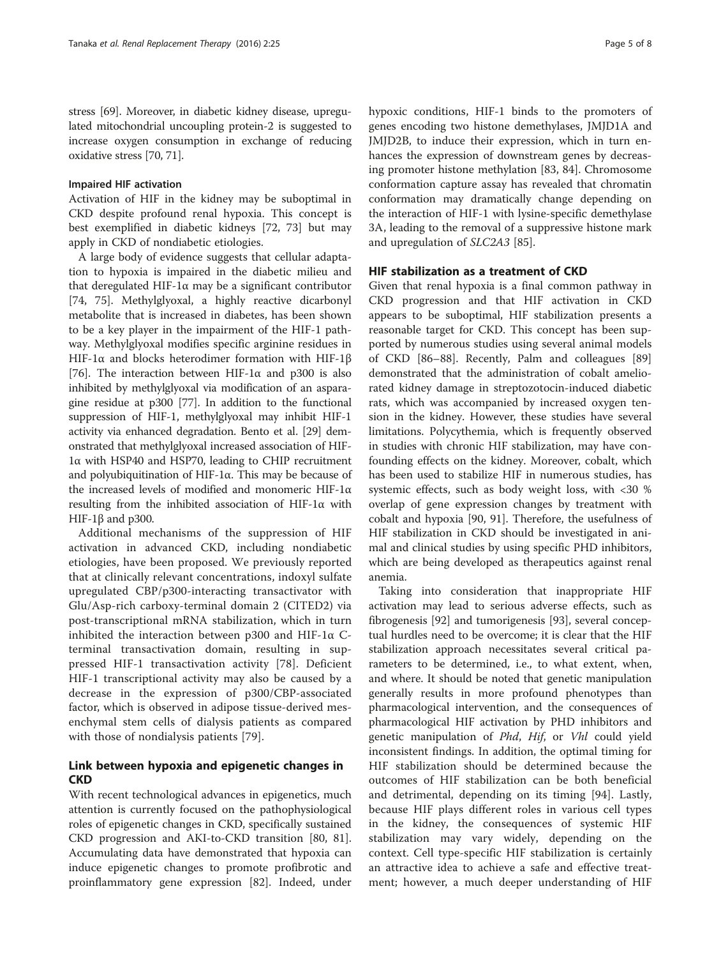stress [[69](#page-6-0)]. Moreover, in diabetic kidney disease, upregulated mitochondrial uncoupling protein-2 is suggested to increase oxygen consumption in exchange of reducing oxidative stress [[70](#page-6-0), [71\]](#page-6-0).

#### Impaired HIF activation

Activation of HIF in the kidney may be suboptimal in CKD despite profound renal hypoxia. This concept is best exemplified in diabetic kidneys [[72](#page-6-0), [73\]](#page-6-0) but may apply in CKD of nondiabetic etiologies.

A large body of evidence suggests that cellular adaptation to hypoxia is impaired in the diabetic milieu and that deregulated HIF-1α may be a significant contributor [[74, 75](#page-6-0)]. Methylglyoxal, a highly reactive dicarbonyl metabolite that is increased in diabetes, has been shown to be a key player in the impairment of the HIF-1 pathway. Methylglyoxal modifies specific arginine residues in HIF-1α and blocks heterodimer formation with HIF-1β [[76\]](#page-6-0). The interaction between HIF-1 $\alpha$  and p300 is also inhibited by methylglyoxal via modification of an asparagine residue at p300 [\[77](#page-6-0)]. In addition to the functional suppression of HIF-1, methylglyoxal may inhibit HIF-1 activity via enhanced degradation. Bento et al. [\[29\]](#page-5-0) demonstrated that methylglyoxal increased association of HIF-1α with HSP40 and HSP70, leading to CHIP recruitment and polyubiquitination of HIF-1α. This may be because of the increased levels of modified and monomeric HIF-1α resulting from the inhibited association of HIF-1α with HIF-1β and p300.

Additional mechanisms of the suppression of HIF activation in advanced CKD, including nondiabetic etiologies, have been proposed. We previously reported that at clinically relevant concentrations, indoxyl sulfate upregulated CBP/p300-interacting transactivator with Glu/Asp-rich carboxy-terminal domain 2 (CITED2) via post-transcriptional mRNA stabilization, which in turn inhibited the interaction between p300 and HIF-1α Cterminal transactivation domain, resulting in suppressed HIF-1 transactivation activity [\[78](#page-6-0)]. Deficient HIF-1 transcriptional activity may also be caused by a decrease in the expression of p300/CBP-associated factor, which is observed in adipose tissue-derived mesenchymal stem cells of dialysis patients as compared with those of nondialysis patients [[79\]](#page-6-0).

## Link between hypoxia and epigenetic changes in **CKD**

With recent technological advances in epigenetics, much attention is currently focused on the pathophysiological roles of epigenetic changes in CKD, specifically sustained CKD progression and AKI-to-CKD transition [[80](#page-6-0), [81](#page-6-0)]. Accumulating data have demonstrated that hypoxia can induce epigenetic changes to promote profibrotic and proinflammatory gene expression [\[82\]](#page-6-0). Indeed, under hypoxic conditions, HIF-1 binds to the promoters of genes encoding two histone demethylases, JMJD1A and JMJD2B, to induce their expression, which in turn enhances the expression of downstream genes by decreasing promoter histone methylation [[83, 84\]](#page-6-0). Chromosome conformation capture assay has revealed that chromatin conformation may dramatically change depending on the interaction of HIF-1 with lysine-specific demethylase 3A, leading to the removal of a suppressive histone mark and upregulation of SLC2A3 [\[85](#page-7-0)].

## HIF stabilization as a treatment of CKD

Given that renal hypoxia is a final common pathway in CKD progression and that HIF activation in CKD appears to be suboptimal, HIF stabilization presents a reasonable target for CKD. This concept has been supported by numerous studies using several animal models of CKD [[86](#page-7-0)–[88](#page-7-0)]. Recently, Palm and colleagues [[89](#page-7-0)] demonstrated that the administration of cobalt ameliorated kidney damage in streptozotocin-induced diabetic rats, which was accompanied by increased oxygen tension in the kidney. However, these studies have several limitations. Polycythemia, which is frequently observed in studies with chronic HIF stabilization, may have confounding effects on the kidney. Moreover, cobalt, which has been used to stabilize HIF in numerous studies, has systemic effects, such as body weight loss, with <30 % overlap of gene expression changes by treatment with cobalt and hypoxia [[90](#page-7-0), [91\]](#page-7-0). Therefore, the usefulness of HIF stabilization in CKD should be investigated in animal and clinical studies by using specific PHD inhibitors, which are being developed as therapeutics against renal anemia.

Taking into consideration that inappropriate HIF activation may lead to serious adverse effects, such as fibrogenesis [\[92](#page-7-0)] and tumorigenesis [[93\]](#page-7-0), several conceptual hurdles need to be overcome; it is clear that the HIF stabilization approach necessitates several critical parameters to be determined, i.e., to what extent, when, and where. It should be noted that genetic manipulation generally results in more profound phenotypes than pharmacological intervention, and the consequences of pharmacological HIF activation by PHD inhibitors and genetic manipulation of Phd, Hif, or Vhl could yield inconsistent findings. In addition, the optimal timing for HIF stabilization should be determined because the outcomes of HIF stabilization can be both beneficial and detrimental, depending on its timing [[94\]](#page-7-0). Lastly, because HIF plays different roles in various cell types in the kidney, the consequences of systemic HIF stabilization may vary widely, depending on the context. Cell type-specific HIF stabilization is certainly an attractive idea to achieve a safe and effective treatment; however, a much deeper understanding of HIF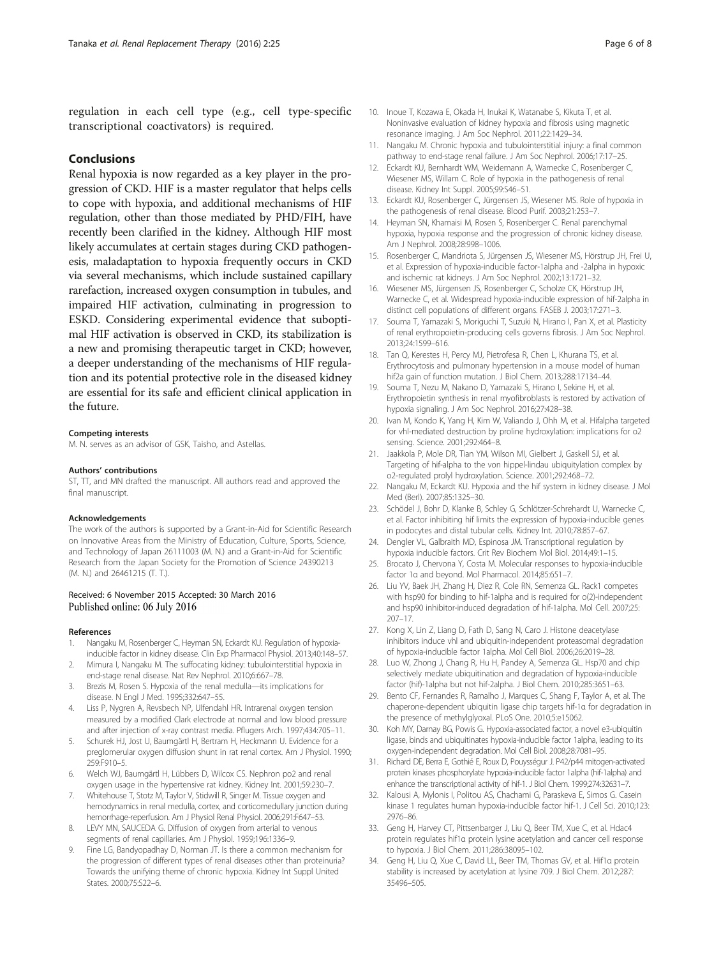<span id="page-5-0"></span>regulation in each cell type (e.g., cell type-specific transcriptional coactivators) is required.

## Conclusions

Renal hypoxia is now regarded as a key player in the progression of CKD. HIF is a master regulator that helps cells to cope with hypoxia, and additional mechanisms of HIF regulation, other than those mediated by PHD/FIH, have recently been clarified in the kidney. Although HIF most likely accumulates at certain stages during CKD pathogenesis, maladaptation to hypoxia frequently occurs in CKD via several mechanisms, which include sustained capillary rarefaction, increased oxygen consumption in tubules, and impaired HIF activation, culminating in progression to ESKD. Considering experimental evidence that suboptimal HIF activation is observed in CKD, its stabilization is a new and promising therapeutic target in CKD; however, a deeper understanding of the mechanisms of HIF regulation and its potential protective role in the diseased kidney are essential for its safe and efficient clinical application in the future.

#### Competing interests

M. N. serves as an advisor of GSK, Taisho, and Astellas.

#### Authors' contributions

ST, TT, and MN drafted the manuscript. All authors read and approved the final manuscript.

#### Acknowledgements

The work of the authors is supported by a Grant-in-Aid for Scientific Research on Innovative Areas from the Ministry of Education, Culture, Sports, Science, and Technology of Japan 26111003 (M. N.) and a Grant-in-Aid for Scientific Research from the Japan Society for the Promotion of Science 24390213 (M. N.) and 26461215 (T. T.).

#### Received: 6 November 2015 Accepted: 30 March 2016 Published online: 06 July 2016

#### References

- 1. Nangaku M, Rosenberger C, Heyman SN, Eckardt KU. Regulation of hypoxiainducible factor in kidney disease. Clin Exp Pharmacol Physiol. 2013;40:148–57.
- 2. Mimura I, Nangaku M. The suffocating kidney: tubulointerstitial hypoxia in end-stage renal disease. Nat Rev Nephrol. 2010;6:667–78.
- Brezis M, Rosen S. Hypoxia of the renal medulla—its implications for disease. N Engl J Med. 1995;332:647–55.
- 4. Liss P, Nygren A, Revsbech NP, Ulfendahl HR. Intrarenal oxygen tension measured by a modified Clark electrode at normal and low blood pressure and after injection of x-ray contrast media. Pflugers Arch. 1997;434:705–11.
- 5. Schurek HJ, Jost U, Baumgärtl H, Bertram H, Heckmann U. Evidence for a preglomerular oxygen diffusion shunt in rat renal cortex. Am J Physiol. 1990; 259:F910–5.
- 6. Welch WJ, Baumgärtl H, Lübbers D, Wilcox CS. Nephron po2 and renal oxygen usage in the hypertensive rat kidney. Kidney Int. 2001;59:230–7.
- 7. Whitehouse T, Stotz M, Taylor V, Stidwill R, Singer M. Tissue oxygen and hemodynamics in renal medulla, cortex, and corticomedullary junction during hemorrhage-reperfusion. Am J Physiol Renal Physiol. 2006;291:F647–53.
- 8. LEVY MN, SAUCEDA G. Diffusion of oxygen from arterial to venous segments of renal capillaries. Am J Physiol. 1959;196:1336–9.
- 9. Fine LG, Bandyopadhay D, Norman JT. Is there a common mechanism for the progression of different types of renal diseases other than proteinuria? Towards the unifying theme of chronic hypoxia. Kidney Int Suppl United States. 2000;75:S22–6.
- 10. Inoue T, Kozawa E, Okada H, Inukai K, Watanabe S, Kikuta T, et al. Noninvasive evaluation of kidney hypoxia and fibrosis using magnetic resonance imaging. J Am Soc Nephrol. 2011;22:1429–34.
- 11. Nangaku M. Chronic hypoxia and tubulointerstitial injury: a final common pathway to end-stage renal failure. J Am Soc Nephrol. 2006;17:17–25.
- 12. Eckardt KU, Bernhardt WM, Weidemann A, Warnecke C, Rosenberger C, Wiesener MS, Willam C. Role of hypoxia in the pathogenesis of renal disease. Kidney Int Suppl. 2005;99:S46–51.
- 13. Eckardt KU, Rosenberger C, Jürgensen JS, Wiesener MS. Role of hypoxia in the pathogenesis of renal disease. Blood Purif. 2003;21:253–7.
- 14. Heyman SN, Khamaisi M, Rosen S, Rosenberger C. Renal parenchymal hypoxia, hypoxia response and the progression of chronic kidney disease. Am J Nephrol. 2008;28:998–1006.
- 15. Rosenberger C, Mandriota S, Jürgensen JS, Wiesener MS, Hörstrup JH, Frei U, et al. Expression of hypoxia-inducible factor-1alpha and -2alpha in hypoxic and ischemic rat kidneys. J Am Soc Nephrol. 2002;13:1721–32.
- 16. Wiesener MS, Jürgensen JS, Rosenberger C, Scholze CK, Hörstrup JH, Warnecke C, et al. Widespread hypoxia-inducible expression of hif-2alpha in distinct cell populations of different organs. FASEB J. 2003;17:271–3.
- 17. Souma T, Yamazaki S, Moriguchi T, Suzuki N, Hirano I, Pan X, et al. Plasticity of renal erythropoietin-producing cells governs fibrosis. J Am Soc Nephrol. 2013;24:1599–616.
- 18. Tan Q, Kerestes H, Percy MJ, Pietrofesa R, Chen L, Khurana TS, et al. Erythrocytosis and pulmonary hypertension in a mouse model of human hif2a gain of function mutation. J Biol Chem. 2013;288:17134–44.
- 19. Souma T, Nezu M, Nakano D, Yamazaki S, Hirano I, Sekine H, et al. Erythropoietin synthesis in renal myofibroblasts is restored by activation of hypoxia signaling. J Am Soc Nephrol. 2016;27:428–38.
- 20. Ivan M, Kondo K, Yang H, Kim W, Valiando J, Ohh M, et al. Hifalpha targeted for vhl-mediated destruction by proline hydroxylation: implications for o2 sensing. Science. 2001;292:464–8.
- 21. Jaakkola P, Mole DR, Tian YM, Wilson MI, Gielbert J, Gaskell SJ, et al. Targeting of hif-alpha to the von hippel-lindau ubiquitylation complex by o2-regulated prolyl hydroxylation. Science. 2001;292:468–72.
- 22. Nangaku M, Eckardt KU. Hypoxia and the hif system in kidney disease. J Mol Med (Berl). 2007;85:1325–30.
- 23. Schödel J, Bohr D, Klanke B, Schley G, Schlötzer-Schrehardt U, Warnecke C, et al. Factor inhibiting hif limits the expression of hypoxia-inducible genes in podocytes and distal tubular cells. Kidney Int. 2010;78:857–67.
- 24. Dengler VL, Galbraith MD, Espinosa JM. Transcriptional regulation by hypoxia inducible factors. Crit Rev Biochem Mol Biol. 2014;49:1–15.
- 25. Brocato J, Chervona Y, Costa M. Molecular responses to hypoxia-inducible factor 1α and beyond. Mol Pharmacol. 2014;85:651–7.
- 26. Liu YV, Baek JH, Zhang H, Diez R, Cole RN, Semenza GL. Rack1 competes with hsp90 for binding to hif-1alpha and is required for o(2)-independent and hsp90 inhibitor-induced degradation of hif-1alpha. Mol Cell. 2007;25: 207–17.
- 27. Kong X, Lin Z, Liang D, Fath D, Sang N, Caro J. Histone deacetylase inhibitors induce vhl and ubiquitin-independent proteasomal degradation of hypoxia-inducible factor 1alpha. Mol Cell Biol. 2006;26:2019–28.
- 28. Luo W, Zhong J, Chang R, Hu H, Pandey A, Semenza GL. Hsp70 and chip selectively mediate ubiquitination and degradation of hypoxia-inducible factor (hif)-1alpha but not hif-2alpha. J Biol Chem. 2010;285:3651–63.
- 29. Bento CF, Fernandes R, Ramalho J, Marques C, Shang F, Taylor A, et al. The chaperone-dependent ubiquitin ligase chip targets hif-1α for degradation in the presence of methylglyoxal. PLoS One. 2010;5:e15062.
- 30. Koh MY, Darnay BG, Powis G. Hypoxia-associated factor, a novel e3-ubiquitin ligase, binds and ubiquitinates hypoxia-inducible factor 1alpha, leading to its oxygen-independent degradation. Mol Cell Biol. 2008;28:7081–95.
- 31. Richard DE, Berra E, Gothié E, Roux D, Pouysségur J. P42/p44 mitogen-activated protein kinases phosphorylate hypoxia-inducible factor 1alpha (hif-1alpha) and enhance the transcriptional activity of hif-1. J Biol Chem. 1999;274:32631–7.
- 32. Kalousi A, Mylonis I, Politou AS, Chachami G, Paraskeva E, Simos G. Casein kinase 1 regulates human hypoxia-inducible factor hif-1. J Cell Sci. 2010;123: 2976–86.
- 33. Geng H, Harvey CT, Pittsenbarger J, Liu Q, Beer TM, Xue C, et al. Hdac4 protein regulates hif1α protein lysine acetylation and cancer cell response to hypoxia. J Biol Chem. 2011;286:38095–102.
- 34. Geng H, Liu Q, Xue C, David LL, Beer TM, Thomas GV, et al. Hif1α protein stability is increased by acetylation at lysine 709. J Biol Chem. 2012;287: 35496–505.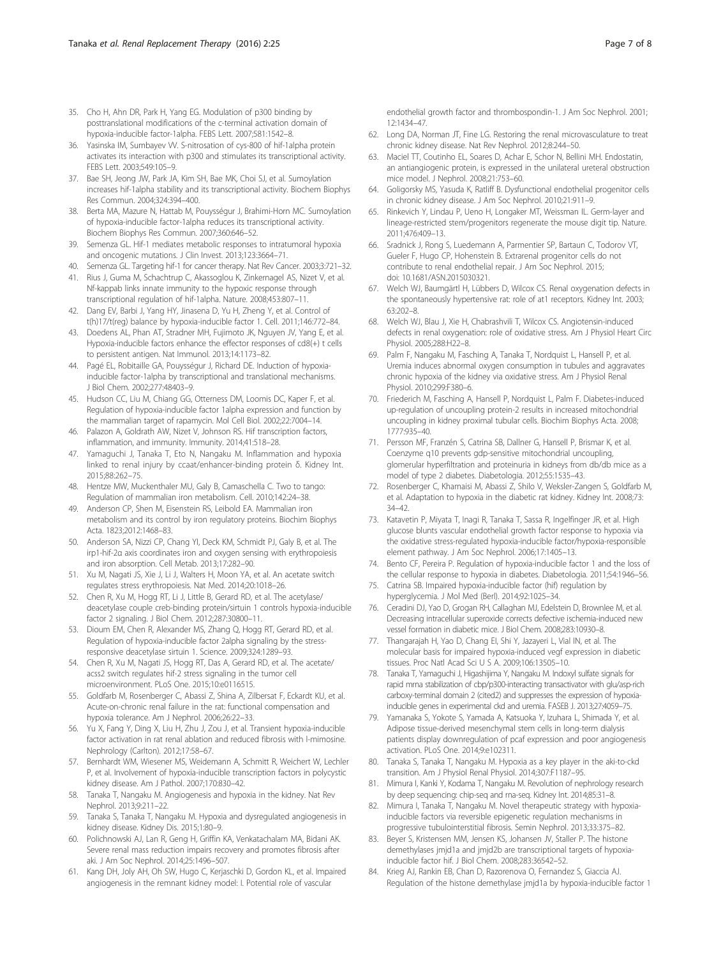- <span id="page-6-0"></span>35. Cho H, Ahn DR, Park H, Yang EG. Modulation of p300 binding by posttranslational modifications of the c-terminal activation domain of hypoxia-inducible factor-1alpha. FEBS Lett. 2007;581:1542–8.
- 36. Yasinska IM, Sumbayev VV. S-nitrosation of cys-800 of hif-1alpha protein activates its interaction with p300 and stimulates its transcriptional activity. FEBS Lett. 2003;549:105–9.
- 37. Bae SH, Jeong JW, Park JA, Kim SH, Bae MK, Choi SJ, et al. Sumoylation increases hif-1alpha stability and its transcriptional activity. Biochem Biophys Res Commun. 2004;324:394–400.
- 38. Berta MA, Mazure N, Hattab M, Pouysségur J, Brahimi-Horn MC. Sumoylation of hypoxia-inducible factor-1alpha reduces its transcriptional activity. Biochem Biophys Res Commun. 2007;360:646–52.
- 39. Semenza GL. Hif-1 mediates metabolic responses to intratumoral hypoxia and oncogenic mutations. J Clin Invest. 2013;123:3664–71.
- 40. Semenza GL. Targeting hif-1 for cancer therapy. Nat Rev Cancer. 2003;3:721–32. 41. Rius J, Guma M, Schachtrup C, Akassoglou K, Zinkernagel AS, Nizet V, et al.
- Nf-kappab links innate immunity to the hypoxic response through transcriptional regulation of hif-1alpha. Nature. 2008;453:807–11. 42. Dang EV, Barbi J, Yang HY, Jinasena D, Yu H, Zheng Y, et al. Control of
- t(h)17/t(reg) balance by hypoxia-inducible factor 1. Cell. 2011;146:772–84.
- 43. Doedens AL, Phan AT, Stradner MH, Fujimoto JK, Nguyen JV, Yang E, et al. Hypoxia-inducible factors enhance the effector responses of cd8(+) t cells to persistent antigen. Nat Immunol. 2013;14:1173–82.
- 44. Pagé EL, Robitaille GA, Pouysségur J, Richard DE. Induction of hypoxiainducible factor-1alpha by transcriptional and translational mechanisms. J Biol Chem. 2002;277:48403–9.
- 45. Hudson CC, Liu M, Chiang GG, Otterness DM, Loomis DC, Kaper F, et al. Regulation of hypoxia-inducible factor 1alpha expression and function by the mammalian target of rapamycin. Mol Cell Biol. 2002;22:7004–14.
- 46. Palazon A, Goldrath AW, Nizet V, Johnson RS. Hif transcription factors, inflammation, and immunity. Immunity. 2014;41:518–28.
- 47. Yamaguchi J, Tanaka T, Eto N, Nangaku M. Inflammation and hypoxia linked to renal injury by ccaat/enhancer-binding protein δ. Kidney Int. 2015;88:262–75.
- 48. Hentze MW, Muckenthaler MU, Galy B, Camaschella C. Two to tango: Regulation of mammalian iron metabolism. Cell. 2010;142:24–38.
- 49. Anderson CP, Shen M, Eisenstein RS, Leibold EA. Mammalian iron metabolism and its control by iron regulatory proteins. Biochim Biophys Acta. 1823;2012:1468–83.
- 50. Anderson SA, Nizzi CP, Chang YI, Deck KM, Schmidt PJ, Galy B, et al. The irp1-hif-2α axis coordinates iron and oxygen sensing with erythropoiesis and iron absorption. Cell Metab. 2013;17:282–90.
- 51. Xu M, Nagati JS, Xie J, Li J, Walters H, Moon YA, et al. An acetate switch regulates stress erythropoiesis. Nat Med. 2014;20:1018–26.
- 52. Chen R, Xu M, Hogg RT, Li J, Little B, Gerard RD, et al. The acetylase/ deacetylase couple creb-binding protein/sirtuin 1 controls hypoxia-inducible factor 2 signaling. J Biol Chem. 2012;287:30800–11.
- 53. Dioum EM, Chen R, Alexander MS, Zhang Q, Hogg RT, Gerard RD, et al. Regulation of hypoxia-inducible factor 2alpha signaling by the stressresponsive deacetylase sirtuin 1. Science. 2009;324:1289–93.
- 54. Chen R, Xu M, Nagati JS, Hogg RT, Das A, Gerard RD, et al. The acetate/ acss2 switch regulates hif-2 stress signaling in the tumor cell microenvironment. PLoS One. 2015;10:e0116515.
- 55. Goldfarb M, Rosenberger C, Abassi Z, Shina A, Zilbersat F, Eckardt KU, et al. Acute-on-chronic renal failure in the rat: functional compensation and hypoxia tolerance. Am J Nephrol. 2006;26:22–33.
- 56. Yu X, Fang Y, Ding X, Liu H, Zhu J, Zou J, et al. Transient hypoxia-inducible factor activation in rat renal ablation and reduced fibrosis with l-mimosine. Nephrology (Carlton). 2012;17:58–67.
- 57. Bernhardt WM, Wiesener MS, Weidemann A, Schmitt R, Weichert W, Lechler P, et al. Involvement of hypoxia-inducible transcription factors in polycystic kidney disease. Am J Pathol. 2007;170:830–42.
- 58. Tanaka T, Nangaku M. Angiogenesis and hypoxia in the kidney. Nat Rev Nephrol. 2013;9:211–22.
- 59. Tanaka S, Tanaka T, Nangaku M. Hypoxia and dysregulated angiogenesis in kidney disease. Kidney Dis. 2015;1:80–9.
- 60. Polichnowski AJ, Lan R, Geng H, Griffin KA, Venkatachalam MA, Bidani AK. Severe renal mass reduction impairs recovery and promotes fibrosis after aki. J Am Soc Nephrol. 2014;25:1496–507.
- 61. Kang DH, Joly AH, Oh SW, Hugo C, Kerjaschki D, Gordon KL, et al. Impaired angiogenesis in the remnant kidney model: I. Potential role of vascular

endothelial growth factor and thrombospondin-1. J Am Soc Nephrol. 2001; 12:1434–47.

- 62. Long DA, Norman JT, Fine LG. Restoring the renal microvasculature to treat chronic kidney disease. Nat Rev Nephrol. 2012;8:244–50.
- 63. Maciel TT, Coutinho EL, Soares D, Achar E, Schor N, Bellini MH. Endostatin, an antiangiogenic protein, is expressed in the unilateral ureteral obstruction mice model. J Nephrol. 2008;21:753–60.
- 64. Goligorsky MS, Yasuda K, Ratliff B. Dysfunctional endothelial progenitor cells in chronic kidney disease. J Am Soc Nephrol. 2010;21:911–9.
- 65. Rinkevich Y, Lindau P, Ueno H, Longaker MT, Weissman IL. Germ-layer and lineage-restricted stem/progenitors regenerate the mouse digit tip. Nature. 2011;476:409–13.
- 66. Sradnick J, Rong S, Luedemann A, Parmentier SP, Bartaun C, Todorov VT, Gueler F, Hugo CP, Hohenstein B. Extrarenal progenitor cells do not contribute to renal endothelial repair. J Am Soc Nephrol. 2015; doi: [10.1681/ASN.2015030321.](http://dx.doi.org/10.1681/ASN.2015030321)
- 67. Welch WJ, Baumgärtl H, Lübbers D, Wilcox CS. Renal oxygenation defects in the spontaneously hypertensive rat: role of at1 receptors. Kidney Int. 2003; 63:202–8.
- 68. Welch WJ, Blau J, Xie H, Chabrashvili T, Wilcox CS. Angiotensin-induced defects in renal oxygenation: role of oxidative stress. Am J Physiol Heart Circ Physiol. 2005;288:H22–8.
- 69. Palm F, Nangaku M, Fasching A, Tanaka T, Nordquist L, Hansell P, et al. Uremia induces abnormal oxygen consumption in tubules and aggravates chronic hypoxia of the kidney via oxidative stress. Am J Physiol Renal Physiol. 2010;299:F380–6.
- 70. Friederich M, Fasching A, Hansell P, Nordquist L, Palm F. Diabetes-induced up-regulation of uncoupling protein-2 results in increased mitochondrial uncoupling in kidney proximal tubular cells. Biochim Biophys Acta. 2008; 1777:935–40.
- 71. Persson MF, Franzén S, Catrina SB, Dallner G, Hansell P, Brismar K, et al. Coenzyme q10 prevents gdp-sensitive mitochondrial uncoupling, glomerular hyperfiltration and proteinuria in kidneys from db/db mice as a model of type 2 diabetes. Diabetologia. 2012;55:1535–43.
- 72. Rosenberger C, Khamaisi M, Abassi Z, Shilo V, Weksler-Zangen S, Goldfarb M, et al. Adaptation to hypoxia in the diabetic rat kidney. Kidney Int. 2008;73: 34–42.
- 73. Katavetin P, Miyata T, Inagi R, Tanaka T, Sassa R, Ingelfinger JR, et al. High glucose blunts vascular endothelial growth factor response to hypoxia via the oxidative stress-regulated hypoxia-inducible factor/hypoxia-responsible element pathway. J Am Soc Nephrol. 2006;17:1405–13.
- 74. Bento CF, Pereira P. Regulation of hypoxia-inducible factor 1 and the loss of the cellular response to hypoxia in diabetes. Diabetologia. 2011;54:1946–56.
- 75. Catrina SB. Impaired hypoxia-inducible factor (hif) regulation by hyperglycemia. J Mol Med (Berl). 2014;92:1025–34.
- 76. Ceradini DJ, Yao D, Grogan RH, Callaghan MJ, Edelstein D, Brownlee M, et al. Decreasing intracellular superoxide corrects defective ischemia-induced new vessel formation in diabetic mice. J Biol Chem. 2008;283:10930–8.
- 77. Thangarajah H, Yao D, Chang EI, Shi Y, Jazayeri L, Vial IN, et al. The molecular basis for impaired hypoxia-induced vegf expression in diabetic tissues. Proc Natl Acad Sci U S A. 2009;106:13505–10.
- 78. Tanaka T, Yamaguchi J, Higashijima Y, Nangaku M. Indoxyl sulfate signals for rapid mrna stabilization of cbp/p300-interacting transactivator with glu/asp-rich carboxy-terminal domain 2 (cited2) and suppresses the expression of hypoxiainducible genes in experimental ckd and uremia. FASEB J. 2013;27:4059–75.
- 79. Yamanaka S, Yokote S, Yamada A, Katsuoka Y, Izuhara L, Shimada Y, et al. Adipose tissue-derived mesenchymal stem cells in long-term dialysis patients display downregulation of pcaf expression and poor angiogenesis activation. PLoS One. 2014;9:e102311.
- 80. Tanaka S, Tanaka T, Nangaku M. Hypoxia as a key player in the aki-to-ckd transition. Am J Physiol Renal Physiol. 2014;307:F1187–95.
- 81. Mimura I, Kanki Y, Kodama T, Nangaku M. Revolution of nephrology research by deep sequencing: chip-seq and rna-seq. Kidney Int. 2014;85:31–8.
- 82. Mimura I, Tanaka T, Nangaku M. Novel therapeutic strategy with hypoxiainducible factors via reversible epigenetic regulation mechanisms in progressive tubulointerstitial fibrosis. Semin Nephrol. 2013;33:375–82.
- 83. Beyer S, Kristensen MM, Jensen KS, Johansen JV, Staller P. The histone demethylases jmjd1a and jmjd2b are transcriptional targets of hypoxiainducible factor hif. J Biol Chem. 2008;283:36542–52.
- 84. Krieg AJ, Rankin EB, Chan D, Razorenova O, Fernandez S, Giaccia AJ. Regulation of the histone demethylase jmjd1a by hypoxia-inducible factor 1